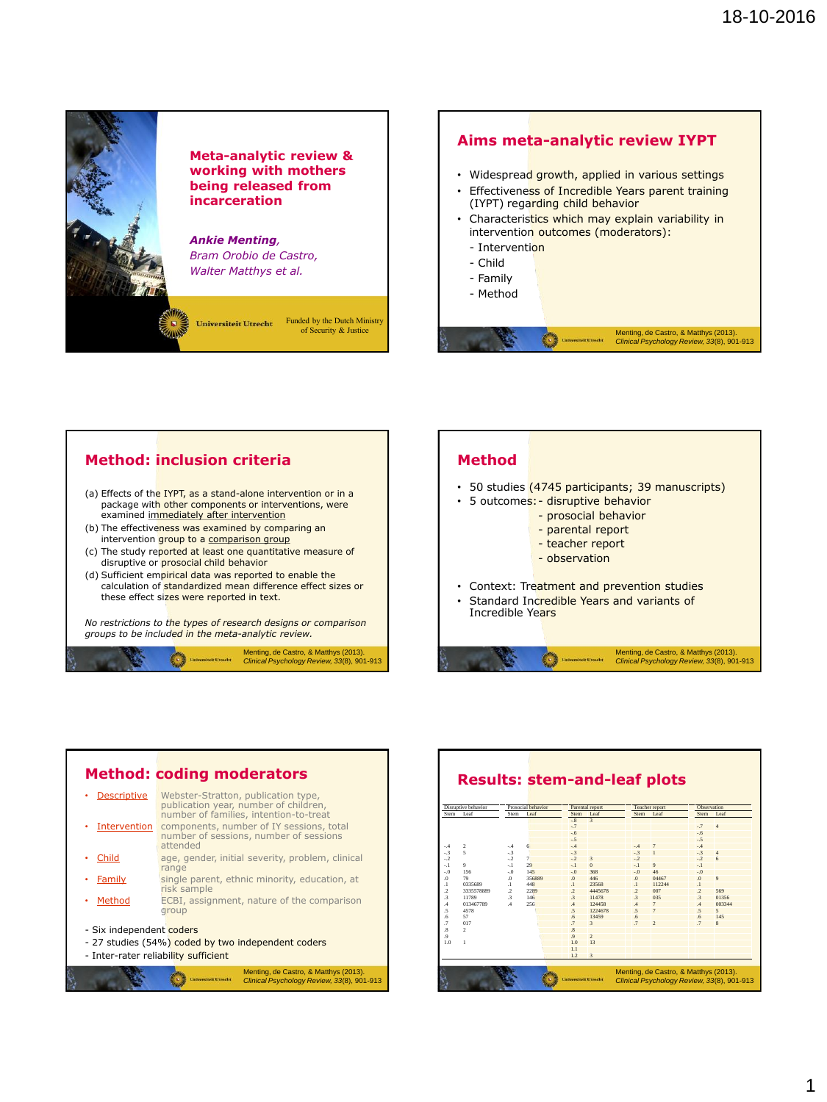



### **Method: inclusion criteria**

- (a) Effects of the IYPT, as a stand-alone intervention or in a package with other components or interventions, were examined immediately after intervention
- (b) The effectiveness was examined by comparing an intervention group to a comparison group
- (c) The study reported at least one quantitative measure of disruptive or prosocial child behavior
- (d) Sufficient empirical data was reported to enable the calculation of standardized mean difference effect sizes or these effect sizes were reported in text.

*No restrictions to the types of research designs or comparison groups to be included in the meta-analytic review.*



# **Method**

- 50 studies (4745 participants; 39 manuscripts)
- 5 outcomes: disruptive behavior
	- prosocial behavior
	- parental report - teacher report
	-
	- observation
- Context: Treatment and prevention studies
- Standard Incredible Years and variants of Incredible Years

Menting, de Castro, & Matthys (2013). *Clinical Psychology Review, 33*(8), 901-913

### **Method: coding moderators** • Descriptive Webster-Stratton, publication type,

|                     | Menting, de Castro, & Matthys (2013).<br><b>Universiteit Utrecht</b><br>Clinical Psychology Review, 33(8), 901-913                              |  |  |  |  |  |  |  |  |
|---------------------|-------------------------------------------------------------------------------------------------------------------------------------------------|--|--|--|--|--|--|--|--|
|                     | - Inter-rater reliability sufficient                                                                                                            |  |  |  |  |  |  |  |  |
|                     | Method<br>ECBI, assignment, nature of the comparison<br>group<br>- Six independent coders<br>- 27 studies (54%) coded by two independent coders |  |  |  |  |  |  |  |  |
|                     |                                                                                                                                                 |  |  |  |  |  |  |  |  |
|                     |                                                                                                                                                 |  |  |  |  |  |  |  |  |
|                     | risk sample                                                                                                                                     |  |  |  |  |  |  |  |  |
| Family              | single parent, ethnic minority, education, at                                                                                                   |  |  |  |  |  |  |  |  |
| Child               | age, gender, initial severity, problem, clinical<br>range                                                                                       |  |  |  |  |  |  |  |  |
| <b>Intervention</b> | components, number of IY sessions, total<br>number of sessions, number of sessions<br>attended                                                  |  |  |  |  |  |  |  |  |
|                     | publication year, number of children,<br>number of families, intention-to-treat                                                                 |  |  |  |  |  |  |  |  |

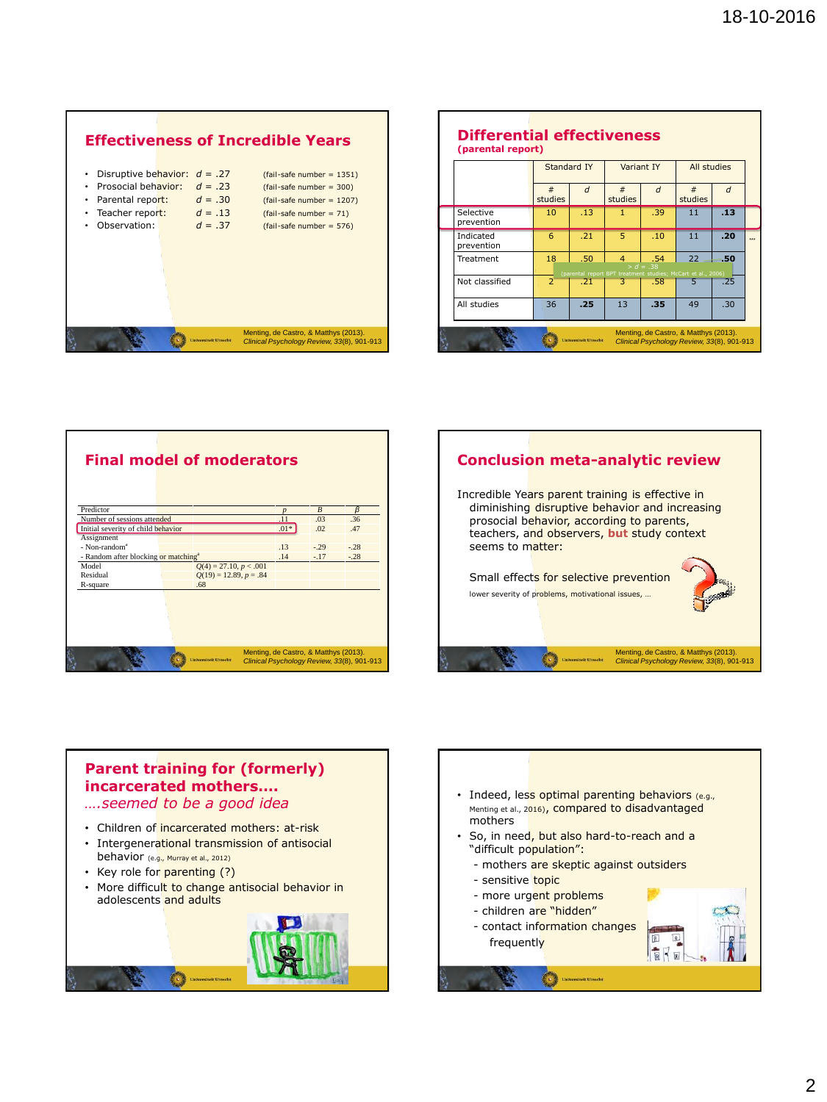

| (parental report)       | <b>Differential effectiveness</b><br>Standard IY<br>Variant IY |                             |                                                                                     |                    |              | All studies    |                      |
|-------------------------|----------------------------------------------------------------|-----------------------------|-------------------------------------------------------------------------------------|--------------------|--------------|----------------|----------------------|
|                         | #<br>studies                                                   | $\overline{d}$              | $\#$<br>studies                                                                     | $\overline{d}$     | #<br>studies | $\overline{d}$ |                      |
| Selective<br>prevention | 10                                                             | .13                         | $\mathbf{1}$                                                                        | .39                | 11           | .13            |                      |
| Indicated<br>prevention | 6                                                              | .21                         | 5.                                                                                  | .10                | 11           | .20            | $\ddot{\phantom{0}}$ |
| Treatment               | 18                                                             | .50                         | $\Delta$<br>(parental report BPT treatment studies: McCart et al., 2006)            | .54<br>$> d = .38$ | 22           | - 50           |                      |
| Not classified          | $\mathcal{P}$                                                  | .21                         | 3                                                                                   | .58                |              | .25            |                      |
| All studies             | 36                                                             | .25                         | 13                                                                                  | .35                | 49           | .30            |                      |
|                         |                                                                | <b>Universiteit Utrecht</b> | Menting, de Castro, & Matthys (2013).<br>Clinical Psychology Review, 33(8), 901-913 |                    |              |                |                      |





# **Parent training for (formerly) incarcerated mothers….**

## *….seemed to be a good idea*

- Children of incarcerated mothers: at-risk
- Intergenerational transmission of antisocial behavior (e.g., Murray et al., 2012)
- Key role for parenting (?)
- More difficult to change antisocial behavior in adolescents and adults



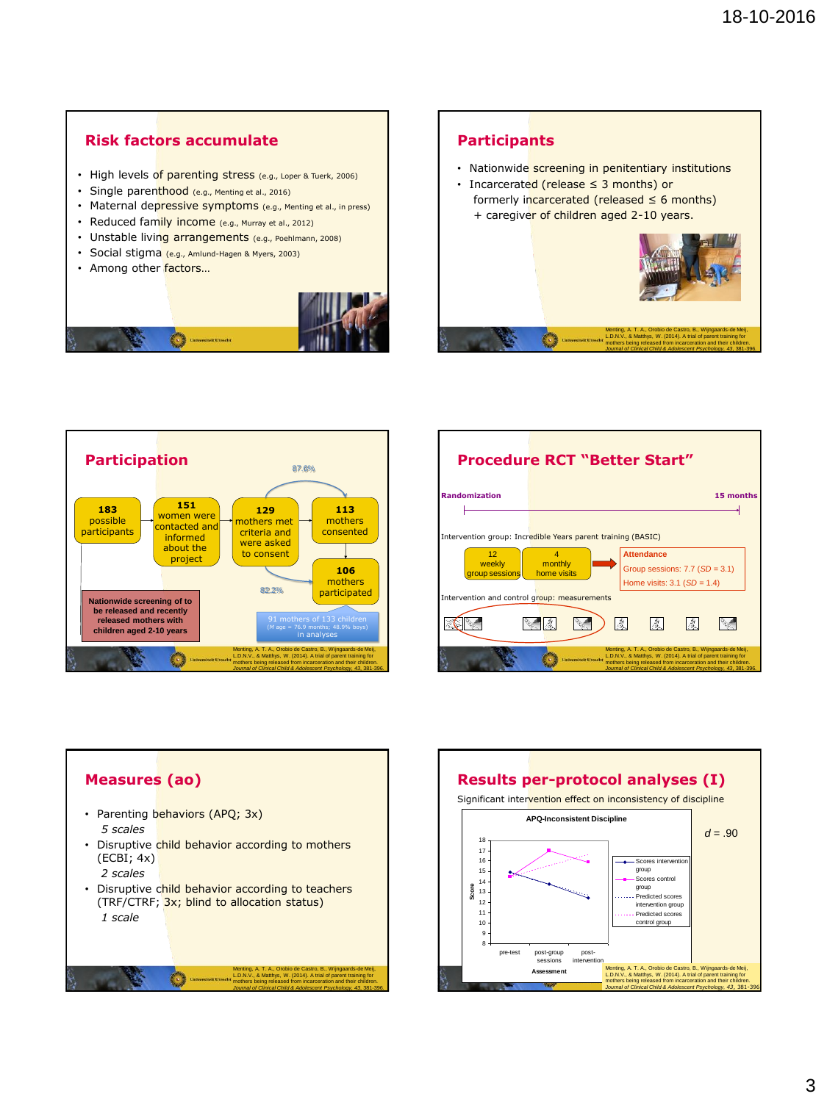### **Risk factors accumulate**

- High levels of parenting stress (e.g., Loper & Tuerk, 2006)
- Single parenthood (e.g., Menting et al., 2016)
- Maternal depressive symptoms (e.g., Menting et al., in press)
- Reduced family income (e.g., Murray et al., 2012)
- Unstable living arrangements (e.g., Poehlmann, 2008)
- Social stigma (e.g., Amlund-Hagen & Myers, 2003)
- Among other factors...



### **Participants**

- Nationwide screening in penitentiary institutions
- Incarcerated (release ≤ 3 months) or formerly incarcerated (released  $\leq$  6 months) + caregiver of children aged 2-10 years.